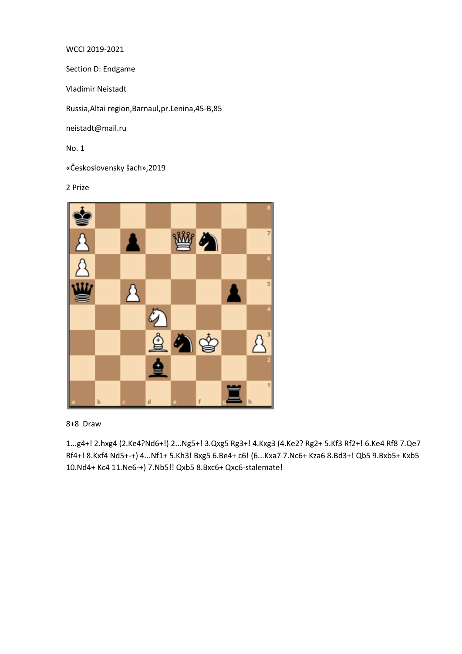WCCI 2019-2021

Section D: Endgame

Vladimir Neistadt

Russia,Altai region,Barnaul,pr.Lenina,45-B,85

neistadt@mail.ru

No. 1

«Československy šach»,2019

2 Prize



8+8 Draw

1...g4+! 2.hxg4 (2.Ke4?Nd6+!) 2...Ng5+! 3.Qxg5 Rg3+! 4.Kxg3 (4.Ke2? Rg2+ 5.Kf3 Rf2+! 6.Ke4 Rf8 7.Qe7 Rf4+! 8.Kxf4 Nd5+-+) 4...Nf1+ 5.Kh3! Bxg5 6.Be4+ c6! (6...Kxa7 7.Nc6+ Kza6 8.Bd3+! Qb5 9.Bxb5+ Kxb5 10.Nd4+ Kc4 11.Ne6-+) 7.Nb5!! Qxb5 8.Bxc6+ Qxc6-stalemate!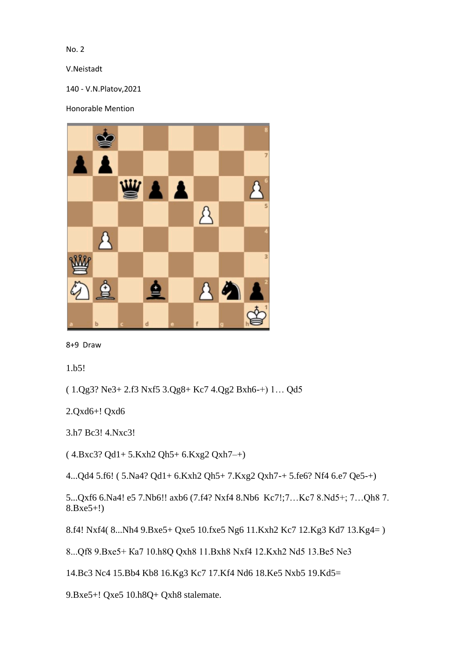No. 2

V.Neistadt

140 - V.N.Platov,2021

Honorable Mention



8+9 Draw

1.b5!

( 1.Qg3? Ne3+ 2.f3 Nxf5 3.Qg8+ Kc7 4.Qg2 Bxh6-+) 1… Qd5

2.Qxd6+! Qxd6

3.h7 Bc3! 4.Nxc3!

( 4.Bxc3? Qd1+ 5.Kxh2 Qh5+ 6.Kxg2 Qxh7–+)

4...Qd4 5.f6! ( 5.Na4? Qd1+ 6.Kxh2 Qh5+ 7.Kxg2 Qxh7-+ 5.fe6? Nf4 6.e7 Qe5-+)

5...Qxf6 6.Na4! e5 7.Nb6!! axb6 (7.f4? Nxf4 8.Nb6 Kc7!;7…Kc7 8.Nd5+; 7…Qh8 7. 8.Bxe5+!)

8.f4! Nxf4( 8...Nh4 9.Bxe5+ Qxe5 10.fxe5 Ng6 11.Kxh2 Kc7 12.Kg3 Kd7 13.Kg4= )

8...Qf8 9.Bxe5+ Ка7 10.h8Q Qxh8 11.Bxh8 Nxf4 12.Kxh2 Nd5 13.Be5 Ne3

14.Bc3 Nc4 15.Bb4 Kb8 16.Kg3 Kc7 17.Kf4 Nd6 18.Ke5 Nxb5 19.Kd5=

9.Bxe5+! Qxe5 10.h8Q+ Qxh8 stalemate.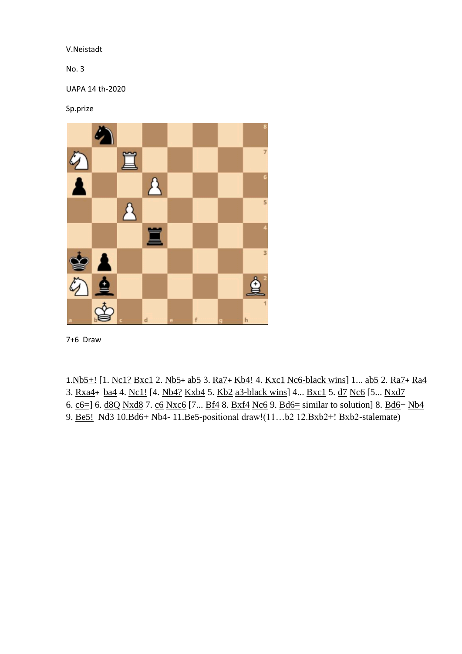## V.Neistadt

No. 3

UAPA 14 th-2020

Sp.prize



7+6 Draw

1.[Nb5+!](javascript:void(0);) [1. [Nc1?](javascript:void(0);) [Bxc1](javascript:void(0);) 2. [Nb5](javascript:void(0);)+ [ab5](javascript:void(0);) 3. [Ra7](javascript:void(0);)+ [Kb4!](javascript:void(0);) 4. [Kxc1](javascript:void(0);) Nc6-black wins] 1... [ab5](javascript:void(0);) 2. [Ra7](javascript:void(0);)+ [Ra4](javascript:void(0);) 3. [Rxa4](javascript:void(0);)+ [ba4](javascript:void(0);) 4. [Nc1!](javascript:void(0);) [4. [Nb4?](javascript:void(0);) [Kxb4](javascript:void(0);) 5. [Kb2](javascript:void(0);) a3-black wins] 4... [Bxc1](javascript:void(0);) 5. [d7](javascript:void(0);) [Nc6](javascript:void(0);) [5... [Nxd7](javascript:void(0);) 6. [c6=\]](javascript:void(0);) 6. [d8Q](javascript:void(0);) [Nxd8](javascript:void(0);) 7. [c6](javascript:void(0);) [Nxc6](javascript:void(0);) [7...  $Bf4$  8.  $Bxf4$  [Nc6](javascript:void(0);) 9.  $Bd6=$  similar to solution] 8.  $Bd6+Nb4$ 9. [Be5!](javascript:void(0);) Nd3 10.Bd6+ Nb4- 11.Be5-positional draw!(11…b2 12.Bxb2+! Bxb2-stalemate)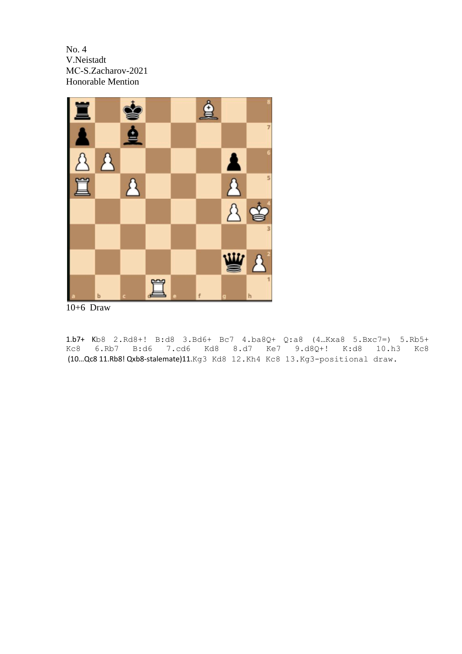No. 4 V.Neistadt MС-S.Zacharov-2021 Honorable Mention



10+6 Draw

1.b7+ Kb8 2.Rd8+! B:d8 3.Bd6+ Bc7 4.ba8Q+ Q:a8 (4…Kxa8 5.Bxc7=) 5.Rb5+ Kc8 6.Rb7 B:d6 7.cd6 Kd8 8.d7 Ke7 9.d8Q+! K:d8 10.h3 Kc8 (10…Qc8 11.Rb8! Qxb8-stalemate)11.Kg3 Kd8 12.Kh4 Kc8 13.Kg3-positional draw.